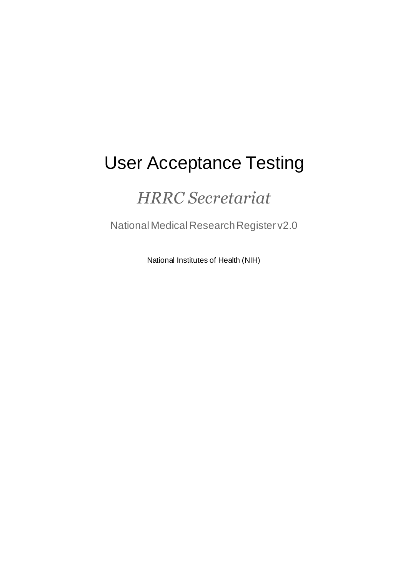# User Acceptance Testing

## *HRRC Secretariat*

National Medical Research Register v2.0

National Institutes of Health (NIH)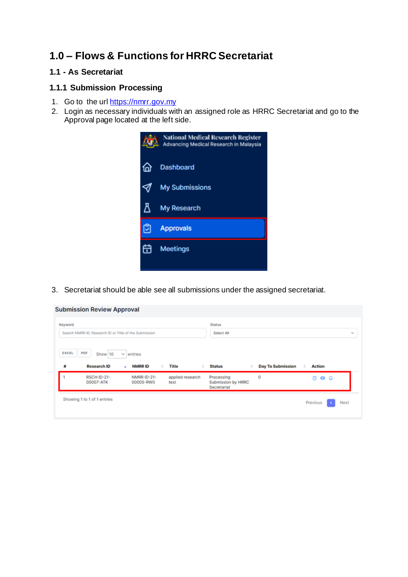### **1.0 – Flows & Functions for HRRC Secretariat**

#### **1.1 - As Secretariat**

#### **1.1.1 Submission Processing**

- 1. Go to the url [https://nmrr.gov.my](https://nmrr.gov.my/)
- 2. Login as necessary individuals with an assigned role as HRRC Secretariat and go to the Approval page located at the left side.



3. Secretariat should be able see all submissions under the assigned secretariat.

| Keyword | Search NMRR ID, Research ID or Title of the Submission |                    |       | <b>Status</b><br>Select All |                          |               |  |
|---------|--------------------------------------------------------|--------------------|-------|-----------------------------|--------------------------|---------------|--|
| EXCEL   | PDF<br>Show 10                                         | entries<br>$\sim$  |       |                             |                          |               |  |
| #       | <b>Research ID</b>                                     | <b>NMRRID</b><br>٠ | Title | <b>Status</b>               | <b>Day To Submission</b> | <b>Action</b> |  |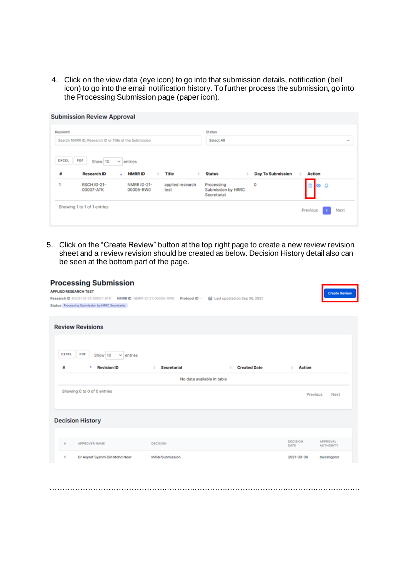4. Click on the view data (eye icon) to go into that submission details, notification (bell icon) to go into the email notification history. To further process the submission, go into the Processing Submission page (paper icon).

| Keyword<br>Search NMRR ID, Research ID or Title of the Submission |                    |              | <b>Status</b><br>Select All |                          |               |  |
|-------------------------------------------------------------------|--------------------|--------------|-----------------------------|--------------------------|---------------|--|
| EXCEL<br>PDF                                                      |                    |              |                             |                          |               |  |
| Show 10                                                           | entries<br>v       |              |                             |                          |               |  |
| <b>Research ID</b><br>Ħ                                           | <b>NMRRID</b><br>٠ | <b>Title</b> | <b>Status</b>               | <b>Day To Submission</b> | <b>Action</b> |  |

5. Click on the "Create Review" button at the top right page to create a new review revision sheet and a review revision should be created as below. Decision History detail also can be seen at the bottom part of the page.

| <b>APPLIED RESEARCH TEST</b> | <b>Processing Submission</b><br>Research ID RSCH ID-21-00007-ATK<br>NMRR ID NMRR ID-21-00005-RW0<br>Status Processing Submission by HRRC Secretariat | Protocol ID -              | Last updated on Sep 06, 2021 |                         | <b>Create Review</b>                |
|------------------------------|------------------------------------------------------------------------------------------------------------------------------------------------------|----------------------------|------------------------------|-------------------------|-------------------------------------|
|                              | <b>Review Revisions</b>                                                                                                                              |                            |                              |                         |                                     |
| EXCEL<br>#                   | PDF<br>Show 10<br>entries<br>v<br><b>Revision ID</b>                                                                                                 | <b>Secretariat</b>         | <b>Created Date</b>          | <b>Action</b>           |                                     |
|                              |                                                                                                                                                      | No data available in table |                              |                         |                                     |
|                              | Showing 0 to 0 of 0 entries                                                                                                                          |                            |                              | Previous                | Next                                |
|                              | <b>Decision History</b>                                                                                                                              |                            |                              |                         |                                     |
| a.                           | APPROVER NAME                                                                                                                                        | DECISION                   |                              | <b>DECISION</b><br>DATE | <b>APPROVAL</b><br><b>AUTHORITY</b> |
| ٠                            | Dr Asyraf Syahmi Bin Mohd Noor                                                                                                                       | <b>Initial Submission</b>  |                              | 2021-09-06              | Investigator                        |

……………………………………………………………………………………………………………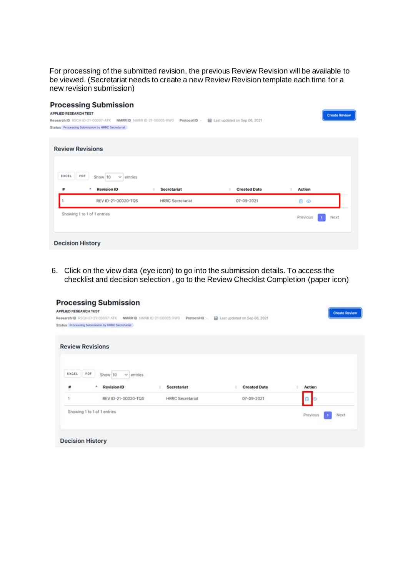For processing of the submitted revision, the previous Review Revision will be available to be viewed. (Secretariat needs to create a new Review Revision template each time for a new revision submission)

| <b>Processing Submission</b><br><b>APPLIED RESEARCH TEST</b><br>Research ID RSCH ID-21-00007-ATK<br>NMRRID NMRR ID-21-00005-RW0<br>Status Processing Submission by HRRC Secretariat | Protocol ID -           | Last updated on Sep 06, 2021 | <b>Create Review</b> |
|-------------------------------------------------------------------------------------------------------------------------------------------------------------------------------------|-------------------------|------------------------------|----------------------|
| <b>Review Revisions</b>                                                                                                                                                             |                         |                              |                      |
| PDF<br>EXCEL<br>Show 10<br>$\vee$ entries<br><b>Revision ID</b><br><b>Secretariat</b><br>爵                                                                                          |                         | <b>Created Date</b>          | <b>Action</b>        |
| REV ID-21-00020-TQS                                                                                                                                                                 | <b>HRRC</b> Secretariat | 07-09-2021                   | Ĥ.<br>⊛              |
| Showing 1 to 1 of 1 entries                                                                                                                                                         |                         |                              | Previous<br>Next     |
| <b>Decision History</b>                                                                                                                                                             |                         |                              |                      |

6. Click on the view data (eye icon) to go into the submission details. To access the checklist and decision selection , go to the Review Checklist Completion (paper icon)

| <b>Processing Submission</b><br>APPLIED RESEARCH TEST                                                                              |                                         | <b>Create Review</b> |
|------------------------------------------------------------------------------------------------------------------------------------|-----------------------------------------|----------------------|
| Research ID RSCH ID-21-00007-ATK NMRR ID NMRR ID-21-00005-RW0<br>Protocol ID -<br>Status Processing Submission by HRRC Secretarial | Last updated on Sep 06, 2021            |                      |
| <b>Review Revisions</b>                                                                                                            |                                         |                      |
| PDF<br>EXCEL<br>Show 10<br>$\vee$ entries.                                                                                         |                                         |                      |
| <b>Revision ID</b><br>Secretariat<br>₩<br>REV ID-21-00020-TQS<br><b>HRRC</b> Secretariat<br>٠                                      | <b>Created Date</b><br>$07 - 09 - 2021$ | Action               |
| Showing 1 to 1 of 1 entries                                                                                                        |                                         | Previous<br>Next     |
| <b>Decision History</b>                                                                                                            |                                         |                      |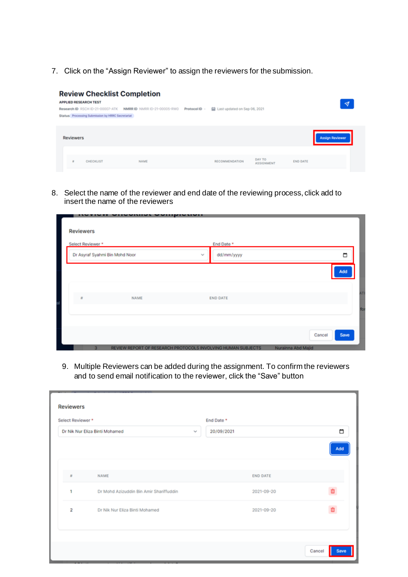7. Click on the "Assign Reviewer" to assign the reviewers for the submission.

| <b>Review Checklist Completion</b><br><b>APPLIED RESEARCH TEST</b><br>Research ID RSCH ID-21-00007-ATK NMRR ID NMRR ID-21-00005-RW0<br>Status Processing Submission by HRRC Secretariat |             | Protocol ID - | Last updated on Sep 06, 2021 |                             |                 | $\blacktriangledown$   |
|-----------------------------------------------------------------------------------------------------------------------------------------------------------------------------------------|-------------|---------------|------------------------------|-----------------------------|-----------------|------------------------|
| <b>Reviewers</b>                                                                                                                                                                        |             |               |                              |                             |                 | <b>Assign Reviewer</b> |
| CHECKLIST<br>и                                                                                                                                                                          | <b>NAME</b> |               | <b>RECOMMENDATION</b>        | DAY TO<br><b>ASSIGNMENT</b> | <b>END DATE</b> |                        |

8. Select the name of the reviewer and end date of the reviewing process, click add to insert the name of the reviewers

| .                 | <u>aannar Aannamanan</u>                                     |              |                 |                    |        |
|-------------------|--------------------------------------------------------------|--------------|-----------------|--------------------|--------|
| <b>Reviewers</b>  |                                                              |              |                 |                    |        |
| Select Reviewer * |                                                              |              | End Date *      |                    |        |
|                   | Dr Asyraf Syahmi Bin Mohd Noor                               | $\mathbf{v}$ | dd/mm/yyyy      |                    | $\Box$ |
|                   |                                                              |              |                 |                    | Add    |
|                   |                                                              |              |                 |                    |        |
| $\tilde{n}$       | NAME                                                         |              | <b>END DATE</b> |                    |        |
|                   |                                                              |              |                 |                    |        |
|                   |                                                              |              |                 |                    |        |
|                   |                                                              |              |                 | Cancel             | Save   |
|                   | REVIEW REPORT OF RESEARCH PROTOCOLS INVOLVING HUMAN SUBJECTS |              |                 | Nurainna Abd Majid |        |

9. Multiple Reviewers can be added during the assignment. To confirm the reviewers and to send email notification to the reviewer, click the "Save" button

| Select Reviewer *       |                                         |        | End Date * |                 |     |
|-------------------------|-----------------------------------------|--------|------------|-----------------|-----|
|                         | Dr Nik Nur Eliza Binti Mohamed          | $\sim$ | 20/09/2021 |                 | п   |
|                         |                                         |        |            |                 | Add |
| Ħ                       | <b>NAME</b>                             |        |            | <b>END DATE</b> |     |
| 1                       | Dr Mohd Azizuddin Bin Amir Shariffuddin |        |            | 2021-09-20      | m   |
| $\overline{\mathbf{2}}$ | Dr Nik Nur Eliza Binti Mohamed          |        |            | 2021-09-20      | Ŵ   |
|                         |                                         |        |            |                 |     |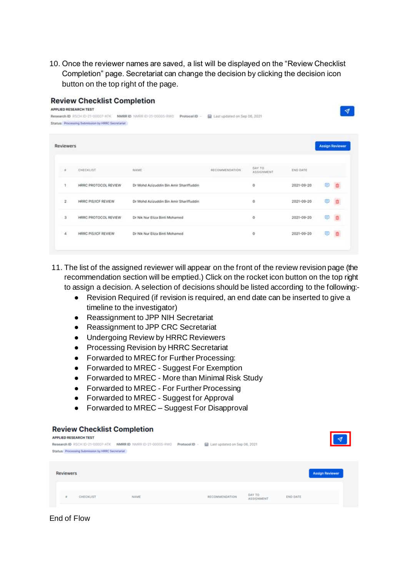10. Once the reviewer names are saved, a list will be displayed on the "Review Checklist Completion" page. Secretariat can change the decision by clicking the decision icon button on the top right of the page.

| <b>Review Checklist Completion</b><br><b>APPLIED RESEARCH TEST</b> |                                         |                                                                                  |                      |                              |                        |  |
|--------------------------------------------------------------------|-----------------------------------------|----------------------------------------------------------------------------------|----------------------|------------------------------|------------------------|--|
| Research ID RSCH ID-21-00007-ATK                                   | Protocol ID -                           |                                                                                  |                      |                              |                        |  |
|                                                                    |                                         |                                                                                  |                      |                              |                        |  |
| <b>Reviewers</b>                                                   |                                         |                                                                                  |                      |                              | <b>Assign Reviewer</b> |  |
| CHECKLIST                                                          | NAME                                    | RECOMMENDATION.                                                                  | DAY TO<br>ASSIGNMENT | END DATE                     |                        |  |
| HRRC PROTOCOL REVIEW                                               | Dr Mohd Azizuddin Bin Amir Shariffuddin |                                                                                  | o                    | 2021-09-20                   |                        |  |
| HRRC PIS/ICF REVIEW                                                | Dr Mohd Azizuddin Bin Amir Shariffuddin |                                                                                  | o                    | 2021-09-20                   |                        |  |
| HRRC PROTOCOL REVIEW                                               | Dr Nik Nur Eliza Binti Mohamed          |                                                                                  | o                    | 2021-09-20                   |                        |  |
| HRRC PIS/ICF REVIEW                                                | Dr Nik Nur Eliza Binti Mohamed          |                                                                                  | o                    | $2021 - 09 - 20$             |                        |  |
|                                                                    |                                         | NMRR ID NMRR ID-21-00005-RW0<br>Status Processing Submission by HRRC Secretariat |                      | Last updated on Sep 06, 2021 |                        |  |

- 11. The list of the assigned reviewer will appear on the front of the review revision page (the recommendation section will be emptied.) Click on the rocket icon button on the top right to assign a decision. A selection of decisions should be listed according to the following:-
	- Revision Required (if revision is required, an end date can be inserted to give a timeline to the investigator)
	- Reassignment to JPP NIH Secretariat
	- Reassignment to JPP CRC Secretariat
	- Undergoing Review by HRRC Reviewers
	- Processing Revision by HRRC Secretariat
	- Forwarded to MREC for Further Processing:
	- Forwarded to MREC Suggest For Exemption
	- Forwarded to MREC More than Minimal Risk Study
	- Forwarded to MREC For Further Processing
	- Forwarded to MREC Suggest for Approval
	- Forwarded to MREC Suggest For Disapproval

#### **Review Checklist Completion**

| <b>APPLIED RESEARCH TEST</b> | Status Processing Submission by HRRC Secretariat | Research ID RSCH ID-21-00007-ATK NMRR ID NMRR ID-21-00005-RW0 Protocol ID - | Last updated on Sep 06, 2021 |                             |                 | $\blacktriangleleft$   |
|------------------------------|--------------------------------------------------|-----------------------------------------------------------------------------|------------------------------|-----------------------------|-----------------|------------------------|
| <b>Reviewers</b>             |                                                  |                                                                             |                              |                             |                 | <b>Assign Reviewer</b> |
| $\mathbf{r}$                 | CHECKLIST                                        | <b>NAME</b>                                                                 | RECOMMENDATION               | DAY TO<br><b>ASSIGNMENT</b> | <b>END DATE</b> |                        |

End of Flow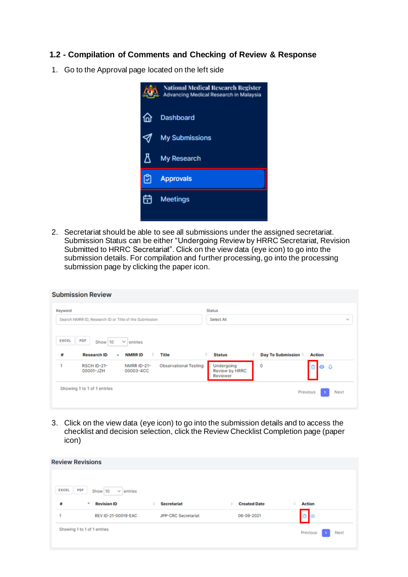#### **1.2 - Compilation of Comments and Checking of Review & Response**

1. Go to the Approval page located on the left side



2. Secretariat should be able to see all submissions under the assigned secretariat. Submission Status can be either "Undergoing Review by HRRC Secretariat, Revision Submitted to HRRC Secretariat". Click on the view data (eye icon) to go into the submission details. For compilation and further processing, go into the processing submission page by clicking the paper icon.

| Keyword<br>Search NMRR ID, Research ID or Title of the Submission |                                                    | <b>Status</b><br>Select All |                        | $\sim$        |
|-------------------------------------------------------------------|----------------------------------------------------|-----------------------------|------------------------|---------------|
| PDF<br>EXCEL<br>Show 10<br><b>Research ID</b><br>#<br>٠           | $\sim$<br>entries<br><b>NMRRID</b><br>Title        | ÷<br><b>Status</b>          | Day To Submission<br>٠ | <b>Action</b> |
|                                                                   | <b>Observational Testing</b><br><b>NMRR ID-21-</b> | Undergoing                  | 0                      | 000           |

3. Click on the view data (eye icon) to go into the submission details and to access the checklist and decision selection, click the Review Checklist Completion page (paper icon)

|              | <b>Review Revisions</b>          |                            |                     |        |
|--------------|----------------------------------|----------------------------|---------------------|--------|
| <b>EXCEL</b> | PDF<br>Show 10<br>$\vee$ entries |                            |                     |        |
| 带            | ٨<br><b>Revision ID</b>          | <b>Secretariat</b><br>٠    | <b>Created Date</b> | Action |
|              |                                  |                            |                     |        |
| ×            | REV ID-21-00019-EAC              | <b>JPP-CRC Secretariat</b> | 06-09-2021          | 0      |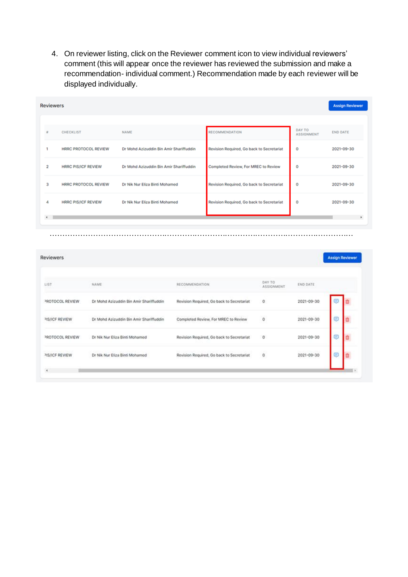4. On reviewer listing, click on the Reviewer comment icon to view individual reviewers' comment (this will appear once the reviewer has reviewed the submission and make a recommendation- individual comment.) Recommendation made by each reviewer will be displayed individually.

| <b>Reviewers</b>                           |                             |      |                                         |                |                                           |                 |                              | <b>Assign Reviewer</b> |            |
|--------------------------------------------|-----------------------------|------|-----------------------------------------|----------------|-------------------------------------------|-----------------|------------------------------|------------------------|------------|
|                                            | CHECKLIST                   |      | <b>NAME</b>                             |                | <b>RECOMMENDATION</b>                     |                 | DAY TO<br><b>ASSIGNMENT</b>  | <b>END DATE</b>        |            |
|                                            | <b>HRRC PROTOCOL REVIEW</b> |      | Dr Mohd Azizuddin Bin Amir Shariffuddin |                | Revision Required, Go back to Secretariat |                 | 0                            |                        | 2021-09-30 |
|                                            | <b>HRRC PIS/ICF REVIEW</b>  |      | Dr Mohd Azizuddin Bin Amir Shariffuddin |                | Completed Review, For MREC to Review      |                 | 0                            |                        | 2021-09-30 |
|                                            | HRRC PROTOCOL REVIEW        |      | Dr Nik Nur Eliza Binti Mohamed          |                | Revision Required, Go back to Secretariat |                 | ٥                            |                        | 2021-09-30 |
|                                            | <b>HRRC PIS/ICF REVIEW</b>  |      | Dr Nik Nur Eliza Binti Mohamed          |                | Revision Required, Go back to Secretariat |                 | 0                            |                        | 2021-09-30 |
|                                            |                             |      |                                         |                |                                           |                 |                              | <b>Assign Reviewer</b> |            |
| $\blacksquare$<br><b>Reviewers</b><br>LIST |                             |      |                                         |                |                                           | DAY TO          |                              |                        |            |
|                                            | PROTOCOL REVIEW             | NAME | Dr Mohd Azizuddin Bin Amir Shariffuddin | RECOMMENDATION | Revision Required, Go back to Secretariat | ASSIGNMENT<br>0 | END DATE<br>$2021 - 09 - 30$ | 匡                      |            |
| PIS/ICF REVIEW                             |                             |      | Dr Mohd Azizuddin Bin Amir Shariffuddin |                | Completed Review, For MREC to Review      | o               | 2021-09-30                   | ⊜                      |            |
|                                            | PROTOCOL REVIEW             |      | Dr Nik Nur Eliza Binti Mohamed          |                | Revision Required, Go back to Secretariat | $\circ$         | 2021-09-30                   | Θ                      |            |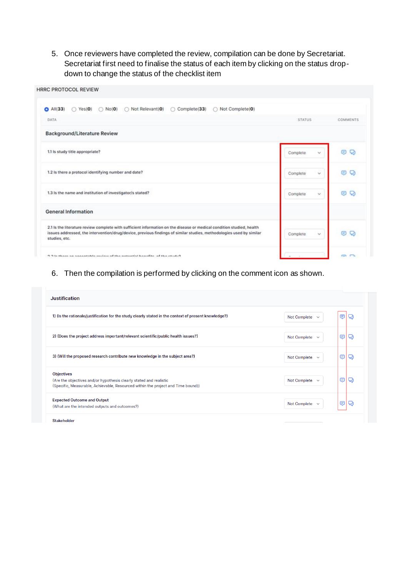5. Once reviewers have completed the review, compilation can be done by Secretariat. Secretariat first need to finalise the status of each item by clicking on the status dropdown to change the status of the checklist item

| <b>HRRC PROTOCOL REVIEW</b>                                                                                                                                                                                                                                   |                     |          |
|---------------------------------------------------------------------------------------------------------------------------------------------------------------------------------------------------------------------------------------------------------------|---------------------|----------|
| C Complete(33)<br>Not Complete(0)<br>All(33)<br>$\bigcirc$ No(0)<br>Not Relevant(0)<br>$\bigcap$ Yes(O)<br>$\bullet$                                                                                                                                          |                     |          |
| DATA                                                                                                                                                                                                                                                          | <b>STATUS</b>       | COMMENTS |
| <b>Background/Literature Review</b>                                                                                                                                                                                                                           |                     |          |
| 1.1 is study title appropriate?                                                                                                                                                                                                                               | Complete.<br>$\sim$ | o<br>⊜   |
| 1.2 Is there a protocol identifying number and date?                                                                                                                                                                                                          | ö<br>Complete       | o<br>⊜   |
| 1.3 Is the name and institution of investigator/s stated?                                                                                                                                                                                                     | Complete<br>v.      | O<br>Θ   |
| <b>General Information</b>                                                                                                                                                                                                                                    |                     |          |
| 2.1 Is the literature review complete with sufficient information on the disease or medical condition studied, health<br>issues addressed, the intervention/drug/device, previous findings of similar studies, methodologies used by similar<br>studies, etc. | Complete<br>v.      | 8<br>Q   |
| 2.2 In these on concertable section of the notantial benefits, of the strutu2                                                                                                                                                                                 |                     | en en    |

#### 6. Then the compilation is performed by clicking on the comment icon as shown.

| <b>Justification</b>                                                                                                                                                        |                     |   |   |
|-----------------------------------------------------------------------------------------------------------------------------------------------------------------------------|---------------------|---|---|
| 1) (Is the rationale/justification for the study clearly stated in the context of present knowledge?)                                                                       | Not Complete $\sim$ | ⊜ | Q |
| 2) (Does the project address important/relevant scientific/public health issues?)                                                                                           | Not Complete $\sim$ | ⊜ | Q |
| 3) (Will the proposed research contribute new knowledge in the subject area?)                                                                                               | Not Complete $\sim$ | ⊜ | Q |
| <b>Objectives</b><br>(Are the objectives and/or hypothesis clearly stated and realistic<br>(Specific, Measurable, Achievable, Resourced within the project and Time bound)) | Not Complete $\sim$ | ⊜ | Q |
| <b>Expected Outcome and Output</b><br>(What are the intended outputs and outcomes?)                                                                                         | Not Complete $\sim$ | ⊜ | Q |

**Stakeholder**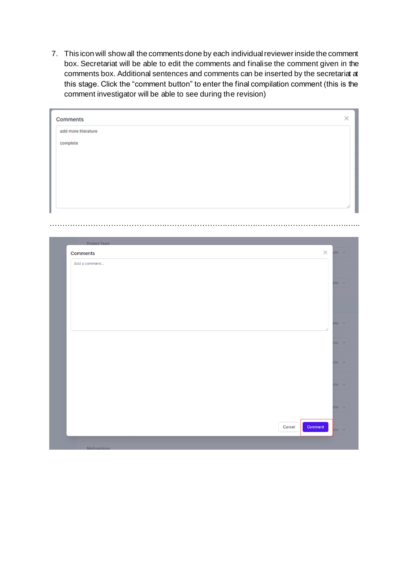7. This icon will show all the comments done by each individual reviewer inside the comment box. Secretariat will be able to edit the comments and finalise the comment given in the comments box. Additional sentences and comments can be inserted by the secretariat at this stage. Click the "comment button" to enter the final compilation comment (this is the comment investigator will be able to see during the revision)

| Comments            |        |         |          |              |
|---------------------|--------|---------|----------|--------------|
| add more literature |        |         |          |              |
| complete            |        |         |          |              |
|                     |        |         |          |              |
|                     |        |         |          |              |
|                     |        |         |          |              |
|                     |        |         |          |              |
|                     |        |         |          |              |
|                     |        |         |          |              |
|                     |        |         |          |              |
|                     |        |         |          |              |
| Project Team        |        |         |          |              |
| <b>Comments</b>     |        |         | $\times$ | $ete \sim$   |
| Add a comment       |        |         |          |              |
|                     |        |         |          |              |
|                     |        |         |          | $ete \sim$   |
|                     |        |         |          |              |
|                     |        |         |          |              |
|                     |        |         |          |              |
|                     |        |         |          | ete $\vee$   |
|                     |        |         |          | $ete \sim$   |
|                     |        |         |          |              |
|                     |        |         |          | $ete \sim$   |
|                     |        |         |          |              |
|                     |        |         |          |              |
|                     |        |         |          |              |
|                     |        |         |          | $ete \sim$   |
|                     |        |         |          |              |
|                     |        |         |          | $ete \sim$   |
|                     | Cancel | Comment |          | $etc$ $\vee$ |